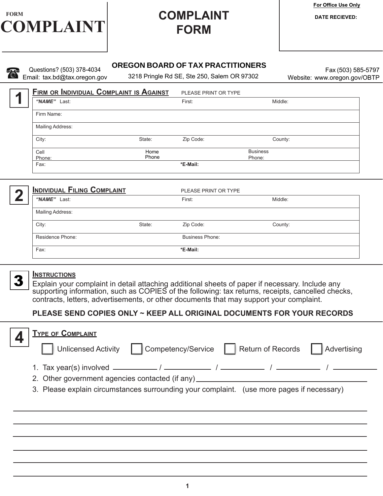

# **FORM**

**For Office Use Only** 

#### **OREGON BOARD OF TAX PRACTITIONERS**

Questions? (503) 378-4034 Email: tax.bd@tax.oregon.gov

3218 Pringle Rd SE, Ste 250, Salem OR 97302

Fax (503) 585-5797 Website: www.oregon.gov/OBTP

**1**

| FIRM OR INDIVIDUAL COMPLAINT IS AGAINST |        | PLEASE PRINT OR TYPE |                 |  |
|-----------------------------------------|--------|----------------------|-----------------|--|
| "NAME" Last:                            |        | First:               | Middle:         |  |
| Firm Name:                              |        |                      |                 |  |
| Mailing Address:                        |        |                      |                 |  |
| City:                                   | State: | Zip Code:            | County:         |  |
| Cell                                    | Home   |                      | <b>Business</b> |  |
| Phone:                                  | Phone  |                      | Phone:          |  |
| Fax:                                    |        | *E-Mail:             |                 |  |



3

| INDIVIDUAL FILING COMPLAINT |        | PLEASE PRINT OR TYPE   |         |  |
|-----------------------------|--------|------------------------|---------|--|
| "NAME" Last:                |        | First:                 | Middle: |  |
| Mailing Address:            |        |                        |         |  |
| City:                       | State: | Zip Code:              | County: |  |
| Residence Phone:            |        | <b>Business Phone:</b> |         |  |
| Fax:                        |        | *E-Mail:               |         |  |
|                             |        |                        |         |  |

#### **Instructions**

Explain your complaint in detail attaching additional sheets of paper if necessary. Include any supporting information, such as COPIES of the following: tax returns, receipts, cancelled checks, contracts, letters, advertisements, or other documents that may support your complaint.

### **PLEASE SEND COPIES ONLY ~ KEEP ALL ORIGINAL DOCUMENTS FOR YOUR RECORDS**

| <b>TYPE OF COMPLAINT</b><br>Unlicensed Activity   Competency/Service   Return of Records<br><b>Advertising</b>                                                                |  |  |  |  |  |  |
|-------------------------------------------------------------------------------------------------------------------------------------------------------------------------------|--|--|--|--|--|--|
| 2. Other government agencies contacted (if any) ________________________________<br>3. Please explain circumstances surrounding your complaint. (use more pages if necessary) |  |  |  |  |  |  |
|                                                                                                                                                                               |  |  |  |  |  |  |
|                                                                                                                                                                               |  |  |  |  |  |  |